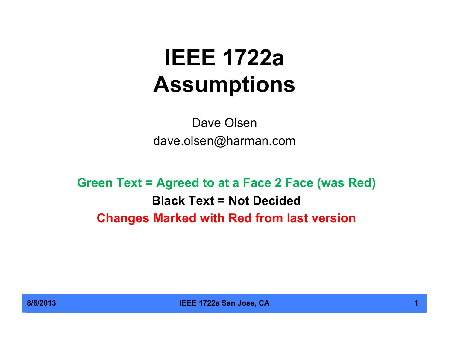# **IEEE 1722a Assumptions**

Dave Olsen dave.olsen@harman.com

**Green Text = Agreed to at a Face 2 Face (was Red) Black Text = Not Decided Changes Marked with Red from last version**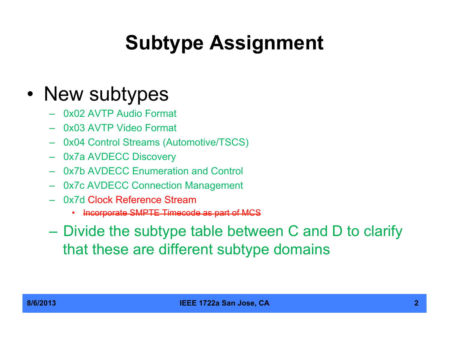# **Subtype Assignment**

#### • New subtypes

- 0x02 AVTP Audio Format
- 0x03 AVTP Video Format
- 0x04 Control Streams (Automotive/TSCS)
- 0x7a AVDECC Discovery
- 0x7b AVDECC Enumeration and Control
- 0x7c AVDECC Connection Management
- 0x7d Clock Reference Stream
	- Incorporate SMPTE Timecode as part of MCS
- Divide the subtype table between C and D to clarify that these are different subtype domains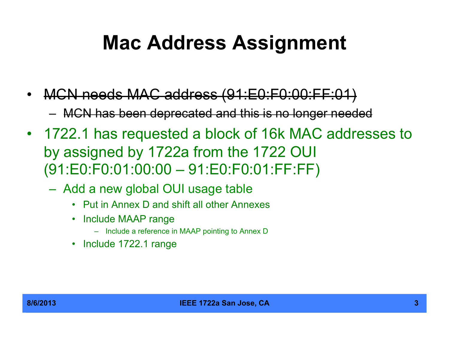#### **Mac Address Assignment**

- MCN needs MAC address (91:E0:F0:00:FF:01) – MCN has been deprecated and this is no longer needed
- 1722.1 has requested a block of 16k MAC addresses to by assigned by 1722a from the 1722 OUI (91:E0:F0:01:00:00 – 91:E0:F0:01:FF:FF)
	- Add a new global OUI usage table
		- Put in Annex D and shift all other Annexes
		- Include MAAP range
			- Include a reference in MAAP pointing to Annex D
		- Include 1722.1 range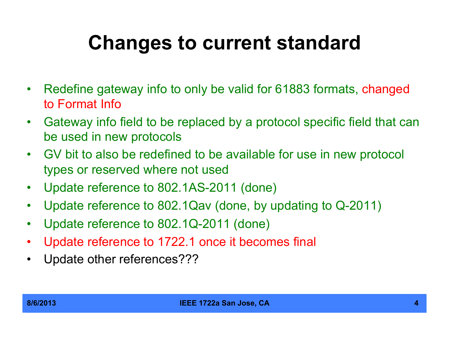## **Changes to current standard**

- Redefine gateway info to only be valid for 61883 formats, changed to Format Info
- Gateway info field to be replaced by a protocol specific field that can be used in new protocols
- GV bit to also be redefined to be available for use in new protocol types or reserved where not used
- Update reference to 802.1AS-2011 (done)
- Update reference to 802.1Qav (done, by updating to Q-2011)
- Update reference to 802.1Q-2011 (done)
- Update reference to 1722.1 once it becomes final
- Update other references???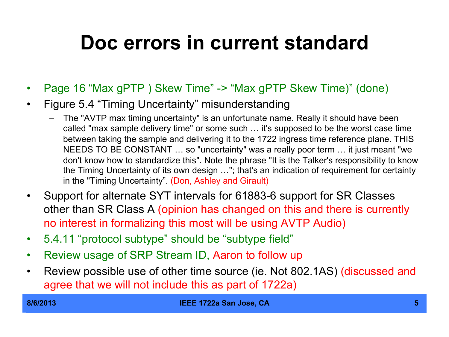#### **Doc errors in current standard**

- Page 16 "Max gPTP ) Skew Time" -> "Max gPTP Skew Time)" (done)
- Figure 5.4 "Timing Uncertainty" misunderstanding
	- The "AVTP max timing uncertainty" is an unfortunate name. Really it should have been called "max sample delivery time" or some such … it's supposed to be the worst case time between taking the sample and delivering it to the 1722 ingress time reference plane. THIS NEEDS TO BE CONSTANT … so "uncertainty" was a really poor term … it just meant "we don't know how to standardize this". Note the phrase "It is the Talker's responsibility to know the Timing Uncertainty of its own design …"; that's an indication of requirement for certainty in the "Timing Uncertainty". (Don, Ashley and Girault)
- Support for alternate SYT intervals for 61883-6 support for SR Classes other than SR Class A (opinion has changed on this and there is currently no interest in formalizing this most will be using AVTP Audio)
- 5.4.11 "protocol subtype" should be "subtype field"
- Review usage of SRP Stream ID, Aaron to follow up
- Review possible use of other time source (ie. Not 802.1AS) (discussed and agree that we will not include this as part of 1722a)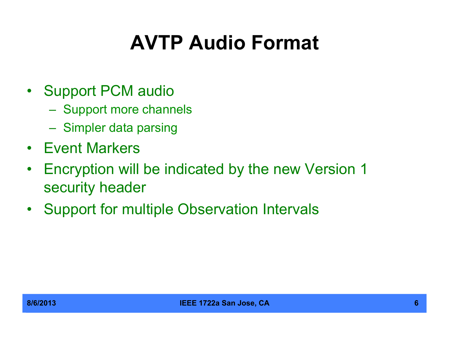# **AVTP Audio Format**

- Support PCM audio
	- Support more channels
	- Simpler data parsing
- Event Markers
- Encryption will be indicated by the new Version 1 security header
- Support for multiple Observation Intervals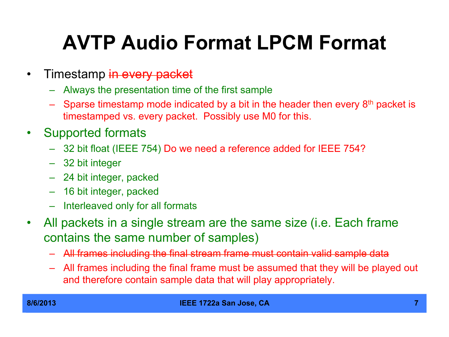# **AVTP Audio Format LPCM Format**

- Timestamp in every packet
	- Always the presentation time of the first sample
	- Sparse timestamp mode indicated by a bit in the header then every  $8<sup>th</sup>$  packet is timestamped vs. every packet. Possibly use M0 for this.
- Supported formats
	- 32 bit float (IEEE 754) Do we need a reference added for IEEE 754?
	- 32 bit integer
	- 24 bit integer, packed
	- 16 bit integer, packed
	- Interleaved only for all formats
- All packets in a single stream are the same size (i.e. Each frame contains the same number of samples)
	- All frames including the final stream frame must contain valid sample data
	- All frames including the final frame must be assumed that they will be played out and therefore contain sample data that will play appropriately.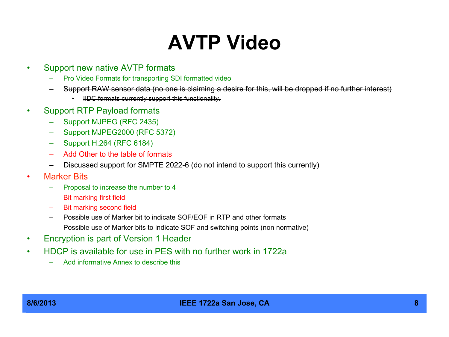## **AVTP Video**

- Support new native AVTP formats
	- Pro Video Formats for transporting SDI formatted video
	- Support RAW sensor data (no one is claiming a desire for this, will be dropped if no further interest)
		- IIDC formats currently support this functionality.
- Support RTP Payload formats
	- Support MJPEG (RFC 2435)
	- Support MJPEG2000 (RFC 5372)
	- Support H.264 (RFC 6184)
	- Add Other to the table of formats
	- Discussed support for SMPTE 2022-6 (do not intend to support this currently)
- **Marker Bits** 
	- Proposal to increase the number to 4
	- Bit marking first field
	- Bit marking second field
	- Possible use of Marker bit to indicate SOF/EOF in RTP and other formats
	- Possible use of Marker bits to indicate SOF and switching points (non normative)
- Encryption is part of Version 1 Header
- HDCP is available for use in PES with no further work in 1722a
	- Add informative Annex to describe this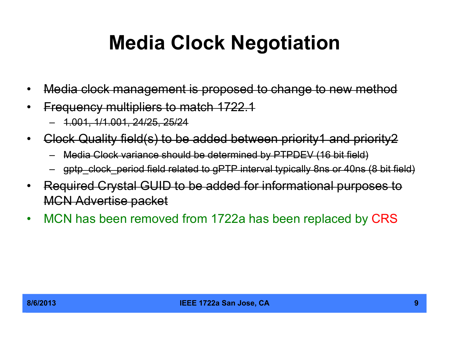#### **Media Clock Negotiation**

- Media clock management is proposed to change to new method
- Frequency multipliers to match 1722.1
	- 1.001, 1/1.001, 24/25, 25/24
- Clock Quality field(s) to be added between priority1 and priority2
	- Media Clock variance should be determined by PTPDEV (16 bit field)
	- gptp\_clock\_period field related to gPTP interval typically 8ns or 40ns (8 bit field)
- Required Crystal GUID to be added for informational purposes to MCN Advertise packet
- MCN has been removed from 1722a has been replaced by CRS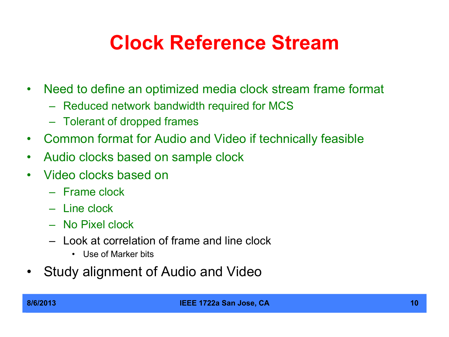#### **Clock Reference Stream**

- Need to define an optimized media clock stream frame format
	- Reduced network bandwidth required for MCS
	- Tolerant of dropped frames
- Common format for Audio and Video if technically feasible
- Audio clocks based on sample clock
- Video clocks based on
	- Frame clock
	- Line clock
	- No Pixel clock
	- Look at correlation of frame and line clock
		- Use of Marker bits
- Study alignment of Audio and Video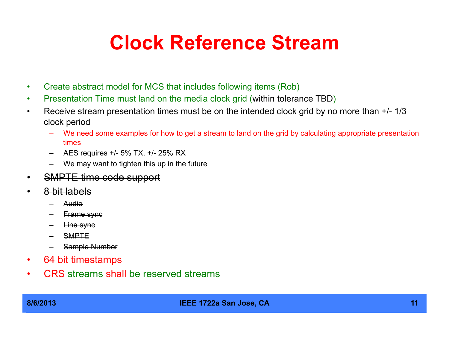#### **Clock Reference Stream**

- Create abstract model for MCS that includes following items (Rob)
- Presentation Time must land on the media clock grid (within tolerance TBD)
- Receive stream presentation times must be on the intended clock grid by no more than  $+/-1/3$ clock period
	- We need some examples for how to get a stream to land on the grid by calculating appropriate presentation times
	- AES requires +/- 5% TX, +/- 25% RX
	- We may want to tighten this up in the future
- SMPTE time code support
- 8 bit labels
	- Audio
	- Frame sync
	- Line sync
	- SMPTE
	- Sample Number
- 64 bit timestamps
- CRS streams shall be reserved streams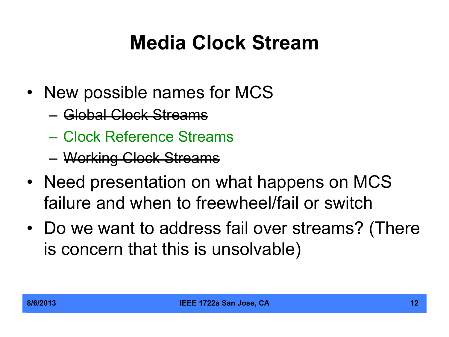## **Media Clock Stream**

- New possible names for MCS
	- Global Clock Streams
	- Clock Reference Streams
	- Working Clock Streams
- Need presentation on what happens on MCS failure and when to freewheel/fail or switch
- Do we want to address fail over streams? (There is concern that this is unsolvable)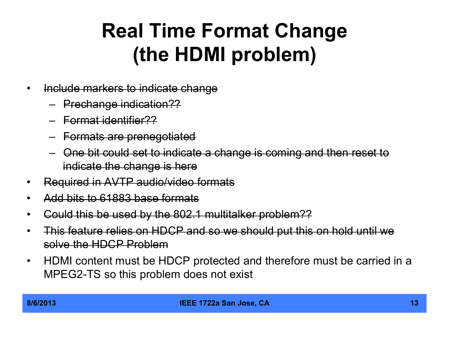### **Real Time Format Change (the HDMI problem)**

- Include markers to indicate change
	- Prechange indication??
	- Format identifier??
	- Formats are prenegotiated
	- One bit could set to indicate a change is coming and then reset to indicate the change is here
- Required in AVTP audio/video formats
- Add bits to 61883 base formats
- Could this be used by the 802.1 multitalker problem??
- This feature relies on HDCP and so we should put this on hold until we solve the HDCP Problem
- HDMI content must be HDCP protected and therefore must be carried in a MPEG2-TS so this problem does not exist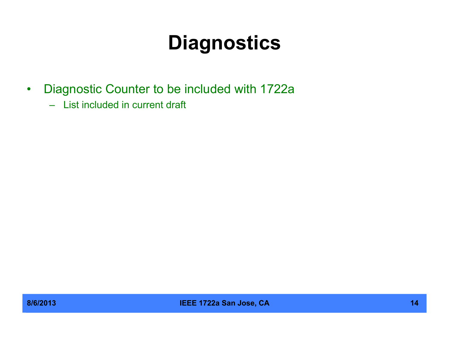## **Diagnostics**

- Diagnostic Counter to be included with 1722a
	- List included in current draft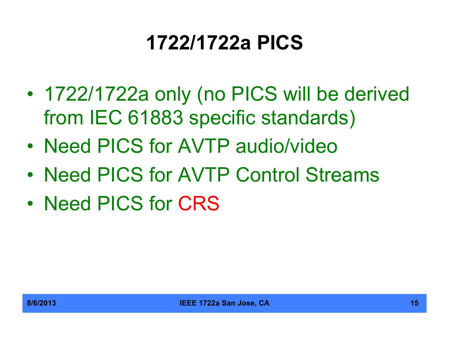## **1722/1722a PICS**

- 1722/1722a only (no PICS will be derived from IEC 61883 specific standards)
- Need PICS for AVTP audio/video
- Need PICS for AVTP Control Streams
- Need PICS for CRS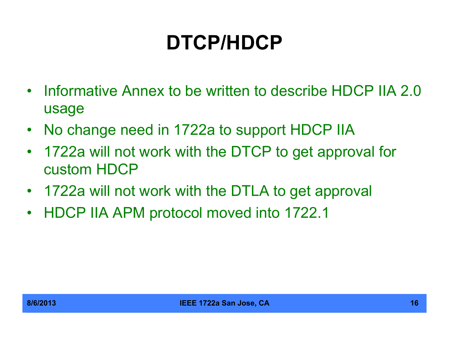# **DTCP/HDCP**

- Informative Annex to be written to describe HDCP IIA 2.0 usage
- No change need in 1722a to support HDCP IIA
- 1722a will not work with the DTCP to get approval for custom HDCP
- 1722a will not work with the DTLA to get approval
- HDCP IIA APM protocol moved into 1722.1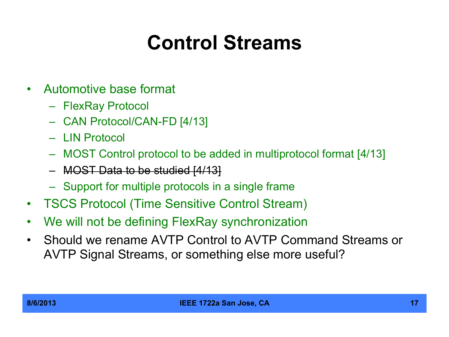## **Control Streams**

- Automotive base format
	- FlexRay Protocol
	- CAN Protocol/CAN-FD [4/13]
	- LIN Protocol
	- MOST Control protocol to be added in multiprotocol format [4/13]
	- MOST Data to be studied [4/13]
	- Support for multiple protocols in a single frame
- TSCS Protocol (Time Sensitive Control Stream)
- We will not be defining FlexRay synchronization
- Should we rename AVTP Control to AVTP Command Streams or AVTP Signal Streams, or something else more useful?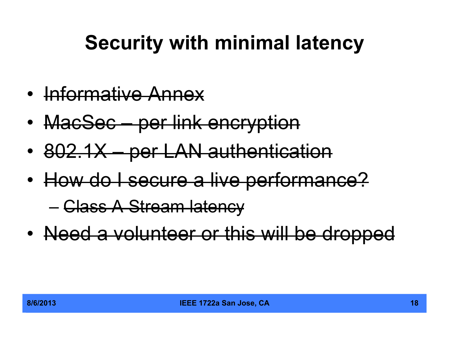# **Security with minimal latency**

- Informative Annex
- MacSec per link encryption
- 802.1X per LAN authentication
- How do I secure a live performance?

– Class A Stream latency

• Need a volunteer or this will be dropped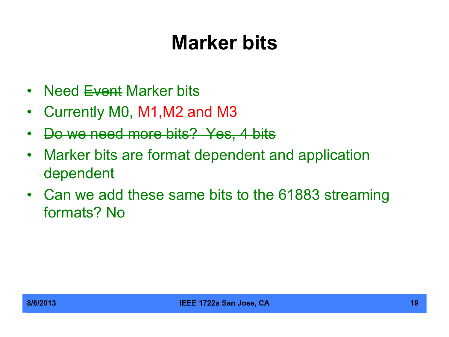#### **Marker bits**

- Need <del>Event</del> Marker bits
- Currently M0, M1,M2 and M3
- Do we need more bits? Yes, 4 bits
- Marker bits are format dependent and application dependent
- Can we add these same bits to the 61883 streaming formats? No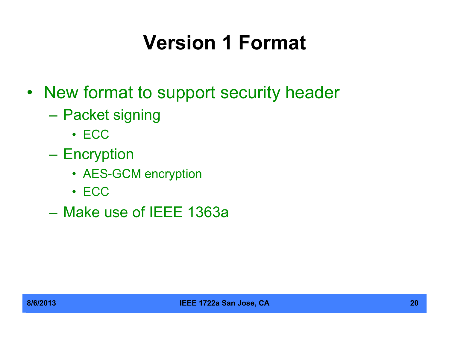# **Version 1 Format**

- New format to support security header
	- Packet signing
		- ECC
	- Encryption
		- AES-GCM encryption
		- ECC
	- Make use of IEEE 1363a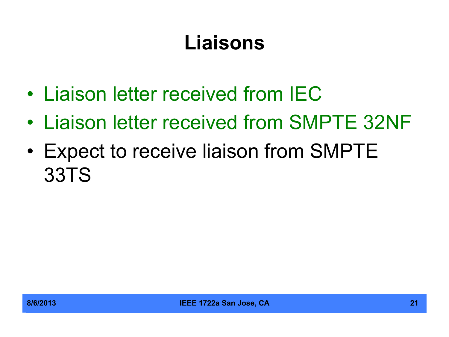## **Liaisons**

- Liaison letter received from IEC
- Liaison letter received from SMPTE 32NF
- Expect to receive liaison from SMPTE 33TS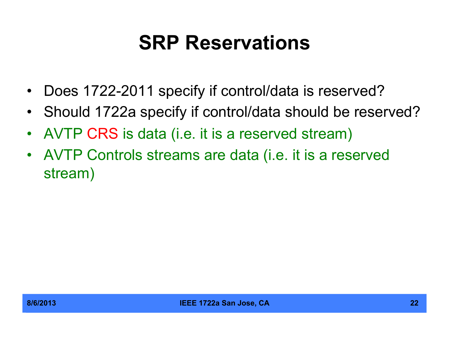#### **SRP Reservations**

- Does 1722-2011 specify if control/data is reserved?
- Should 1722a specify if control/data should be reserved?
- AVTP CRS is data (i.e. it is a reserved stream)
- AVTP Controls streams are data (i.e. it is a reserved stream)